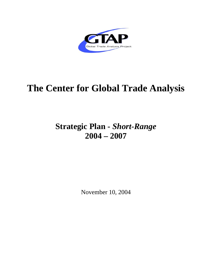

# **The Center for Global Trade Analysis**

# **Strategic Plan -** *Short-Range*  **2004 – 2007**

November 10, 2004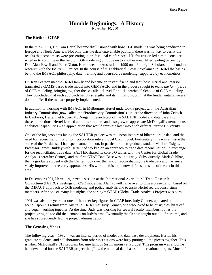# **Humble Beginnings: A History**

November 10, 2004

#### **The Birth of GTAP**

In the mid-1980s, Dr. Tom Hertel became disillusioned with how CGE modeling was being conducted in Europe and North America. Not only was the data unavailable publicly, there was no way to verify the results that economists were presenting at professional conferences. His frustration led him to consider whether to continue in the field of CGE modeling or move on to another area. After reading papers by Drs. Alan Powell and Peter Dixon, Hertel went to Australia in 1990 on a Fulbright Scholarship to conduct research with the IMPACT Project. In the course of this sabbatical, Powell explained to Hertel the basics behind the IMPACT philosophy: data, training and open-source modeling, supported by econometrics.

Dr. Ken Pearson met the Hertel family and became an instant friend and tacit host. Hertel and Pearson translated a GAMS-based trade model into GEMPACK, and in the process sought to *mend the family tree* of CGE modeling, bringing together the so-called "Levels" and "Linearized" Schools of CGE modeling. They concluded that each approach had its strengths and its limitations, but that the fundamental answers do not differ if the two are properly implemented.

In addition to working with IMPACT in Melbourne, Hertel undertook a project with the Australian Industry Commission (now called the "Productivity Commission"), under the direction of John Zeitsch. In Canberra, Hertel met Robert McDougall, the architect of the SALTER model and data base. From these interactions, Hertel learned about its structure and also grew to appreciate McDougall's tremendous analytical capabilities – an appreciation that would translate later into a job offer at Purdue University.

One of the big problems facing the SALTER project was the inconsistency of bilateral trade data and the need for reconciliation, prior to incorporation into a global CGE model. Fortunately, this was an issue that some of the Purdue staff had spent some time on. In particular, then-graduate student Marinos Tsigas, Professor James Binkley with Hertel had worked on an approach to trade data reconciliation. In exchange for the reconciliated trade data, SALTER shared its core I-O tables with the Center for Global Trade Analysis (hereafter Center), and the first GTAP Data Base was on its way. Subsequently, Mark Gehlhar, then a graduate student with the Center, took over the task of reconciliating the trade data and has since vastly improved on the early approaches. His work on this topic now defines the state of the art in this area.

In December 1991, Hertel organized a session at the International Agricultural Trade Research Consortium (IATRC) meetings on CGE modeling. Alan Powell came over to give a presentation based on the IMPACT approach to CGE modeling and policy analysis and to assist Hertel recruit consortium members. After one of many late nights, the acronym GTAP (Global Trade Analysis Project) was born.

1991 was also the year that one of the other key figures in GTAP lore, Judy Conner, appeared on the scene. Upon his return from Australia, Hertel met Judy Conner, one who loved to be busy; they hit it off and began working together. At the time, Judy was working for several faculty members, but as the project grew, so too did the demands on Judy's time. Eventually the Center bought out all of her time, and she has subsequently led the project administration.

#### **The Growing Years**

The following year – 1992 – was an intense period of model and data base development. Hertel, his graduate students, and collaborators from other institutions were busy putting all the pieces together. This is when McDougall's FIT program became famous (or infamous) at Purdue! This program was a tool he had developed for the SALTER project that *fitted* the national data bases to international targets. Much of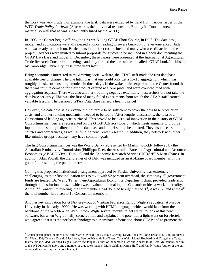the work was very crude. For example, the tariff data were extracted by hand from various issues of the WTO *Trade Policy Reviews*. (Afterwards, the individual responsible, Bradley McDonald, knew the material so well that he was subsequently hired by the WTO.)

In 1993, the Center began offering the first week-long GTAP Short Course, in DOS. The data base, model, and applications were all released at once, leading to severe burn-out for everyone except Judy, who was ready to march on. Participants in this first course included many who are still active in the project.<sup>1</sup> Authors were invited to submit proposals for studies to be included in a book documenting the GTAP Data Base and model. In December, these papers were presented at the International Agricultural Trade Research Consortium meetings, and they formed the core of the so-called "GTAP book," published by Cambridge University Press three years later.

Being economists interested in maximizing social welfare, the GTAP staff made the first data base available free of charge. The one hitch was that one could only get a 10x10 aggregation, which was roughly the size of most large models in those days. In the wake of this experiment, the Center found that there was infinite demand for their product offered at a zero price, and were overwhelmed with aggregation requests. There was also another troubling negative externality: researchers did not take the data base seriously. This was the first of many failed experiments from which the GTAP staff learned valuable lessons. The version 2 GTAP Data Base carried a healthy price!

However, the data base sales revenue did not prove to be sufficient to cover the data base production costs, and another funding mechanism needed to be found. After lengthy discussions, the idea of a Consortium of leading agencies surfaced. This proved to be a critical innovation in the history of GTAP. Consortium members are represented on the GTAP Advisory Board, which meets annually to provide input into the strategic direction of the data base and model should be updated. They also discuss training courses and conferences, as well as funding new Center research. In addition, they network with other like-minded groups because many have common goals.

The first Consortium member was the World Bank (represented by Martin), quickly followed by the Australian Productivity Commission (Phillippa Dee), the Australian Bureau of Agricultural and Resource Economics (ABARE-Vivek Tulpule), and the Economic Research Service (USDA/ERS-Matt Shane). In addition, Alan Powell, the grandfather of GTAP, was included as an At-Large board member with the goal of representing the public interest.

Getting this proposed institutional arrangement approved by Purdue University was extremely challenging, as their first inclination was to tax it with 52 percent overhead, the same way all government funds are treated. Dr. Wally Tyner, then-Agricultural Economics Department chair, provided leadership through the institutional maze, which was invaluable in making the Consortium idea a workable reality. At the  $2^{nd}$  Consortium meeting, the four members had doubled to eight; at the  $3^{rd}$ , it was 12; and at the  $4^{th}$ the total number had risen to 16 Consortium members!

Another key innovation for GTAP grew out of Visiting Professor Randy Wigle's sabbatical at Purdue University in the early 1990's. He was working with HTML language, which would later form the backbone of the World-Wide Web. It took Wigle several months to get Hertel to look at this new software, but when Wigle finally cornered him and explained the potential, a light went on for Hertel, who agreed that it is the perfect technology to disseminate information about GTAP and to promote the

 $\overline{a}$ 

<sup>&</sup>lt;sup>1</sup> Course participants included Drs. Will Martin (World Bank), Inkyo Cheong, Kevin Hanslow, Jong-Hwan Ko, Alan Matthews, Zhi Wang, Erly Texeira, Donald MacLaren, George Frisvold, Rod Tyers, Tom Wahl, Lionel Hubbard, and Yongzheng Yang. Instructors included: Marinos Tsigas, Robert McDougall (author of the famous Uses and Abuses talk), Brad McDonald (our link to the WTO), Ken Pearson, and a number of graduate students: Mark Gehlhar, Karen Huff, and Randy Wigle (author of the only serious after dinner speech in our history).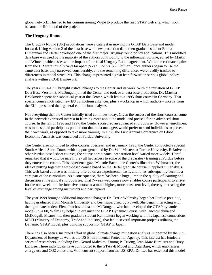global network. This led to his commissioning Wigle to produce the first GTAP web site, which soon became the life-blood of the project.

#### **The Uruguay Round**

The Uruguay Round (UR) negotiations were a catalyst in moving the GTAP Data Base and model forward. Using version 2 of the data base with new protection data, then-graduate student Betina Dimaranan and Hertel developed one of the first major Uruguay round policy applications. This modified data base was used by the majority of the authors contributing to the influential volume, edited by Martin and Winters, which assessed the impact of the final Uruguay Round agreement. While the estimated gains from the UR were initially very far apart (\$50 billion vs. \$500 billion), once authors began to use the same data base, they narrowed considerably, and the remaining differences were readily tracked to differences in model structures. This change represented a great leap forward in serious global policy analysis within a CGE framework.

The years 1994-1995 brought critical changes to the Center and its work. With the initiation of GTAP Data Base Version 3, McDougall joined the Center and took over data base production. Dr. Martina Brockmeier spent her sabbatical year at the Center, which led to a 1995 short course in Germany. That special course motivated new EU consortium alliances, plus a workshop in which authors – mostly from the EU – presented their general equilibrium analyses.

Not everything that the Center initially tried continues today. Given the success of the short courses, some in the network expressed interest in learning more about the model and pressed for an advanced short course. In the fall of 1996 and 1997, the Center sponsored an advanced short course. However, enrollment was modest, and participants pointed out that most managers would prefer to send individuals to present their own work, as opposed to take more training. In 1998, the First Annual Conference on Global Economic Analysis was conceived at Purdue University.

The Center also continued to offer courses overseas, and in January 1998, the Center conducted a special South African Short Course with support generated by Dr. Will Masters at Purdue University. Relative to other Purdue-based short courses, the course participants' preparation level varied more widely. Hertel remarked that it would be nice if they all had access to some of the preparatory training at Purdue before they entered the course. This experience gave Melanie Bacou, the Center's illustrious Webmaster, the idea of putting together a web-based course based on the Hertel graduate course in applied GE analysis. This web-based course was initially offered on an experimental basis, and it has subsequently become a core part of the curriculum. As a consequence, there has been a huge jump in the quality of learning and discussion at the annual short courses. That 7-week web course now enables course participants to arrive for the one-week, on-site intensive course at a much higher, more consistent level, thereby increasing the level of exchange among instructors and participants.

The year 1999 brought additional important changes: Dr. Terrie Walmsley began her Purdue post-doc, having graduated from Monash University and been supervised by Powell. She began interacting with then-graduate student Elena Ianchovichina and McDougall, who had developed the GTAP dynamic model. In 2000, Walmsley helped to organize the GTAP Dynamic Course, with Ianchovichina and McDougall. Meanwhile, then-graduate student Ken Itakura began working with his Japanese connections, METI (Ministry of Economy, Trade and Industry), that led to several important projects utilizing the Dynamic GTAP model, plus building support for GTAP in Japan.

There has also been a sustained effort in global climate change mitigation analysis, supported by the U.S. Department of Energy as well as the US Environmental Protection Agency. This interest has funded a series of researchers, including Drs. Gerard Malcolm, Truong P. Truong, Jean-Marc Burniaux and Huey-Lin Lee. These individuals have contributed to the GTAP-E Model and Data Base, which emphasizes energy use and CO2 emissions. With current support from the US-EPA, Dr. Lee has extended this model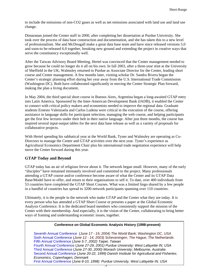to include the emissions of non-CO2 gases as well as net emissions associated with land use and land use change.

Dimaranan joined the Center staff in 2000, after completing her dissertation at Purdue University. She took over the process of data base construction and documentation, and she has taken this to a new level of professionalism. She and McDougall make a great data base team and have since released versions 5.0 and soon-to be-released 6.0 together, breaking new ground and extending the project in creative ways that serve the constituency exceptionally well.

After the Taiwan Advisory Board Meeting, Hertel was convinced that the Center management needed to grow because he could no longer do it all on his own. In fall 2003, after a three-year stint at the University of Sheffield in the UK, Walmsley returned to Purdue as Associate Director for the Center, leading short course and Center management. A few months later, visiting scholar Dr. Sandra Rivera began the Center's strategic planning effort during her year away from the U.S. International Trade Commission (Washington DC). Both have collaborated significantly in moving the Center Strategic Plan forward, making the plan a living document.

In May 2004, the third special short course in Buenos Aires, Argentina began a long-awaited GTAP entry into Latin America. Sponsored by the Inter-American Development Bank (IADB), it enabled the Center to connect with critical policy makers and economists needed to improve the regional data. Graduate students Ernesto Valenzuela and Carlos Ludena were critical in the execution of the course, offering assistance in language skills for participant selection, managing the web course, and helping participants get the first few lectures under their belt in their native language. After just three months, the course has inspired several input-output tables for the next data base release as well as a variety of proposals for collaborative projects.

With Hertel spending his sabbatical year at the World Bank, Tyner and Walmsley are operating as Co-Directors to manage the Center and GTAP activities over the next year. Tyner's experience as Agricultural Economics Department Chair plus his international trade negotiation experience will help move the Center forward during this year.

#### **GTAP Today and Beyond**

GTAP today has an air of religious fervor about it. The network began small. However, many of the early "disciples" have remained intimately involved and committed to the project. Many professionals attending a GTAP course and/or conference become aware of what the Center and its GTAP Data Base/Model have to offer, and return to their organizations to sell it. To date, over 400 individuals from 53 countries have completed the GTAP Short Courses. What was a limited lingo shared by a few people in a handful of countries has spread to 3200 network participants spanning over 110 countries.

Ultimately, it is the people in the network who make GTAP and the Center what they are today. It is every person who has attended a GTAP Short Course or presents a paper at the Global Economic Analysis Conference. It is the dedicated board members who consistently support the mission of the Center with their membership. And especially, it is the vision of the Center, collaborating to bring better ways of framing and understanding economic issues, together.

#### **Conference on Global Economic Analysis History (1998-present)**

Seventh Annual Conference (*June 17 - 19, 2004) The World Bank; Washington DC, USA* Sixth Annual Conference (*June 12 - 14, 2003) Scheveningen, The Hague, The Netherlands* Fifth Annual Conference (*June 5-7, 2002) Taipei, Taiwan* Fourth Annual Conference (*June 27-29, 2001) Purdue University; West Lafayette IN, USA*  Third Annual Conference (*June 27-30, 2000) Monash University; Melbourne, Australia* Second Annual Conference (*June 20-22, 1999) Danish Institute for Agricultural and Fisheries; Economics, Copenhagen, Denmark* First Annual Conference (*June 8-10, 1998) Purdue University, West Lafayette IN, USA*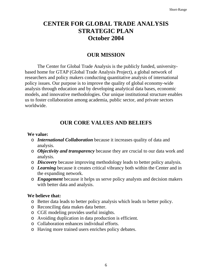# **CENTER FOR GLOBAL TRADE ANALYSIS STRATEGIC PLAN October 2004**

# **OUR MISSION**

The Center for Global Trade Analysis is the publicly funded, universitybased home for GTAP (Global Trade Analysis Project), a global network of researchers and policy makers conducting quantitative analysis of international policy issues. Our purpose is to improve the quality of global economy-wide analysis through education and by developing analytical data bases, economic models, and innovative methodologies. Our unique institutional structure enables us to foster collaboration among academia, public sector, and private sectors worldwide.

# **OUR CORE VALUES AND BELIEFS**

#### **We value:**

- o *International Collaboration* because it increases quality of data and analysis.
- o *Objectivity and transparency* because they are crucial to our data work and analysis.
- o *Discovery* because improving methodology leads to better policy analysis*.*
- o *Learning* because it creates critical vibrancy both within the Center and in the expanding network.
- o *Engagement* because it helps us serve policy analysts and decision makers with better data and analysis.

### **We believe that:**

- o Better data leads to better policy analysis which leads to better policy.
- o Reconciling data makes data better.
- o CGE modeling provides useful insights.
- o Avoiding duplication in data production is efficient.
- o Collaboration enhances individual efforts.
- o Having more trained users enriches policy debates.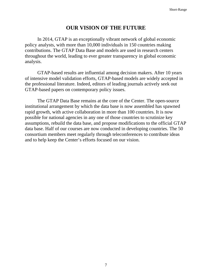# **OUR VISION OF THE FUTURE**

In 2014, GTAP is an exceptionally vibrant network of global economic policy analysts, with more than 10,000 individuals in 150 countries making contributions. The GTAP Data Base and models are used in research centers throughout the world, leading to ever greater transparency in global economic analysis.

GTAP-based results are influential among decision makers. After 10 years of intensive model validation efforts, GTAP-based models are widely accepted in the professional literature. Indeed, editors of leading journals actively seek out GTAP-based papers on contemporary policy issues.

The GTAP Data Base remains at the core of the Center. The open-source institutional arrangement by which the data base is now assembled has spawned rapid growth, with active collaboration in more than 100 countries. It is now possible for national agencies in any one of those countries to scrutinize key assumptions, rebuild the data base, and propose modifications to the official GTAP data base. Half of our courses are now conducted in developing countries. The 50 consortium members meet regularly through teleconferences to contribute ideas and to help keep the Center's efforts focused on our vision.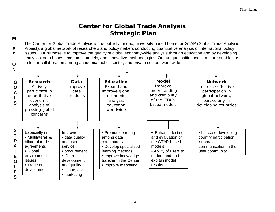# **Center for Global Trade Analysis Strategic Plan M**

The Center for Global Trade Analysis is the publicly funded, university-based home for GTAP (Global Trade Analysis Project), a global network of researchers and policy makers conducting quantitative analysis of international policy issues. Our purpose is to improve the quality of global economy-wide analysis through education and by developing analytical data bases, economic models, and innovative methodologies. Our unique institutional structure enables us to foster collaboration among academia, public sector, and private sectors worldwide.

**I SS I**

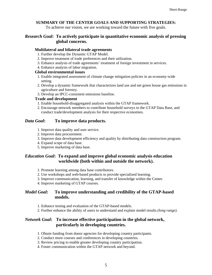#### **SUMMARY OF THE CENTER GOALS AND SUPPORTING STRATEGIES:**

To achieve our vision, we are working toward the future with five goals.

#### *Research Goal***: To actively participate in quantitative economic analysis of pressing global concerns.**

#### **Multilateral and bilateral trade agreements**

- 1. Further develop the Dynamic GTAP Model.
- 2. Improve treatment of trade preferences and their utilization.
- 3. Enhance analysis of trade agreements' treatment of foreign investment in services.
- 4. Enhance analysis of labor migration.

#### **Global environmental issues**

- 1. Enable integrated assessment of climate change mitigation policies in an economy-wide setting.
- 2. Develop a dynamic framework that characterizes land use and net green house gas emissions in agriculture and forestry.
- 3. Develop an IPCC-consistent emissions baseline.

#### **Trade and development**

- 1. Enable household-disaggregated analysis within the GTAP framework.
- 2. Encourage network members to contribute household surveys to the GTAP Data Base, and conduct trade/development analysis for their respective economies.

#### *Data Goal***: To improve data products.**

- 1. Improve data quality and user service.
- 2. Improve data procurement.
- 3. Improve data development efficiency and quality by distributing data construction program.
- 4. Expand scope of data base.
- 5. Improve marketing of data base.

#### *Education Goal***: To expand and improve global economic analysis education worldwide (both within and outside the network).**

- 1. Promote learning among data base contributors.
- 2. Use workshops and web-based products to provide specialized learning.
- 3. Improve communication, learning, and transfer of knowledge within the Center.
- 4. Improve marketing of GTAP courses.

#### *Model Goal***: To improve understanding and credibility of the GTAP-based models.**

- 1. Enhance testing and evaluation of the GTAP-based models.
- 2. Further enhance the ability of users to understand and explain model results *(long range).*

#### *Network Goal***: To increase effective participation in the global network, particularly in developing countries.**

- 1. Obtain funding from donor agencies for developing country participants.
- 2. Conduct more courses and conferences in developing countries.
- 3. Review pricing to enable greater developing country participation.
- 4. Foster communication within the GTAP network and beyond.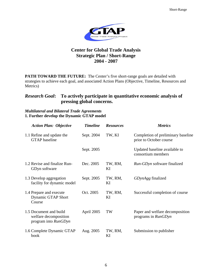

## **Center for Global Trade Analysis Strategic Plan / Short-Range 2004 - 2007**

**PATH TOWARD THE FUTURE:** The Center's five short-range goals are detailed with strategies to achieve each goal, and associated Action Plans (Objective, Timeline, Resources and Metrics)

## *Research Goal***: To actively participate in quantitative economic analysis of pressing global concerns.**

#### *Multilateral and Bilateral Trade Agreements* **1. Further develop the Dynamic GTAP model**

| <b>Action Plan: Objective</b>                                           | <b>Timeline</b> | <b>Resources</b> | <b>Metrics</b>                                                |
|-------------------------------------------------------------------------|-----------------|------------------|---------------------------------------------------------------|
| 1.1 Refine and update the<br><b>GTAP</b> baseline                       | Sept. 2004      | TW, KI           | Completion of preliminary baseline<br>prior to October course |
|                                                                         | Sept. 2005      |                  | Updated baseline available to<br>consortium members           |
| 1.2 Revise and finalize Run-<br>GDyn software                           | Dec. 2005       | TW, RM,<br>KI    | <i>Run-GDyn</i> software finalized                            |
| 1.3 Develop aggregation<br>facility for dynamic model                   | Sept. 2005      | TW, RM,<br>KI    | GDynAgg finalized                                             |
| 1.4 Prepare and execute<br>Dynamic GTAP Short<br>Course                 | Oct. 2005       | TW, RM,<br>KI    | Successful completion of course                               |
| 1.5 Document and build<br>welfare decomposition<br>program into RunGDyn | April 2005      | TW               | Paper and welfare decomposition<br>programs in RunGDyn        |
| 1.6 Complete Dynamic GTAP<br>book                                       | Aug. 2005       | TW, RM,<br>KI    | Submission to publisher                                       |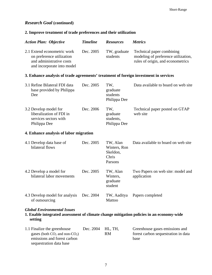#### *Research Goal* **(continued)**

#### **2. Improve treatment of trade preferences and their utilization**

| <b>Action Plan: Objective</b>                                                                                      | <b>Timeline</b> | <b>Resources</b>                                         | <b>Metrics</b>                                                                                        |
|--------------------------------------------------------------------------------------------------------------------|-----------------|----------------------------------------------------------|-------------------------------------------------------------------------------------------------------|
| 2.1 Extend econometric work<br>on preference utilization<br>and administrative costs<br>and incorporate into model | Dec. 2005       | TW, graduate<br>students                                 | Technical paper combining<br>modeling of preference utilization,<br>rules of origin, and econometrics |
| 3. Enhance analysis of trade agreements' treatment of foreign investment in services                               |                 |                                                          |                                                                                                       |
| 3.1 Refine Bilateral FDI data<br>base provided by Philippa<br>Dee                                                  | Dec. 2005       | TW,<br>graduate<br>students<br>Philippa Dee              | Data available to board on web site                                                                   |
| 3.2 Develop model for<br>liberalization of FDI in<br>services sectors with<br>Philippa Dee                         | Dec. 2006       | TW,<br>graduate<br>students,<br>Philippa Dee             | Technical paper posted on GTAP<br>web site                                                            |
| 4. Enhance analysis of labor migration                                                                             |                 |                                                          |                                                                                                       |
| 4.1 Develop data base of<br>bilateral flows                                                                        | Dec. 2005       | TW, Alan<br>Winters, Ron<br>Skeldon,<br>Chris<br>Parsons | Data available to board on web site                                                                   |
| 4.2 Develop a model for<br>bilateral labor movements                                                               | Dec. 2005       | TW, Alan<br>Winters,<br>graduate<br>student              | Two Papers on web site: model and<br>application                                                      |
| 4.3 Develop model for analysis<br>of outsourcing                                                                   | Dec. 2004       | TW, Aaditya<br>Mattoo                                    | Papers completed                                                                                      |

#### *Global Environmental Issues*

#### **1. Enable integrated assessment of climate change mitigation policies in an economy-wide setting**

| 1.1 Finalize the greenhouse          | Dec. 2004 HL, TH. |    | Greenhouse gases emissions and      |
|--------------------------------------|-------------------|----|-------------------------------------|
| gases (both $CO_2$ and non- $CO_2$ ) |                   | RM | forest carbon sequestration in data |
| emissions and forest carbon          |                   |    | base                                |
| sequestration data base              |                   |    |                                     |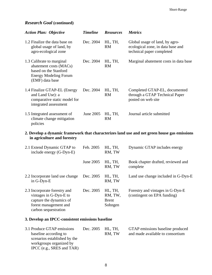### *Research Goal* **(continued)**

| <b>Action Plan: Objective</b>                                                                                                   | <b>Timeline</b> | <b>Resources</b>     | <b>Metrics</b>                                                                                   |
|---------------------------------------------------------------------------------------------------------------------------------|-----------------|----------------------|--------------------------------------------------------------------------------------------------|
| 1.2 Finalize the data base on<br>global usage of land, by<br>agro-ecological zone                                               | Dec. 2004       | HL, TH,<br>RM        | Global usage of land, by agro-<br>ecological zone, in data base and<br>technical paper completed |
| 1.3 Calibrate to marginal<br>abatement costs (MACs)<br>based on the Stanford<br><b>Energy Modeling Forum</b><br>(EMF) data base | Dec. 2004       | HL, TH,<br>RM        | Marginal abatement costs in data base                                                            |
| 1.4 Finalize GTAP-EL (Energy<br>and Land Use): a<br>comparative static model for<br>integrated assessment                       | Dec. 2004       | HL, TH,<br><b>RM</b> | Completed GTAP-EL, documented<br>through a GTAP Technical Paper<br>posted on web site            |
| 1.5 Integrated assessment of<br>climate change mitigation<br>policies                                                           | June 2005       | HL, TH,<br>RM        | Journal article submitted                                                                        |

#### **2. Develop a dynamic framework that characterizes land use and net green house gas emissions in agriculture and forestry**

| 2.1 Extend Dynamic GTAP to<br>include energy (G-Dyn-E)                                                                             | Feb. 2005 | HL, TH,<br>RM, TW                             | Dynamic GTAP includes energy                                    |
|------------------------------------------------------------------------------------------------------------------------------------|-----------|-----------------------------------------------|-----------------------------------------------------------------|
|                                                                                                                                    | June 2005 | HL, TH,<br>RM, TW                             | Book chapter drafted, reviewed and<br>complete                  |
| 2.2 Incorporate land use change<br>in G-Dyn-E                                                                                      | Dec. 2005 | HL, TH,<br>RM, TW                             | Land use change included in G-Dyn-E                             |
| 2.3 Incorporate forestry and<br>vintages in G-Dyn-E to<br>capture the dynamics of<br>forest management and<br>carbon sequestration | Dec. 2005 | HL, TH,<br>RM, TW,<br><b>Brent</b><br>Sohngen | Forestry and vintages in G-Dyn-E<br>(contingent on EPA funding) |

#### **3. Develop an IPCC-consistent emissions baseline**

| 3.1 Produce GTAP emissions   | Dec. 2005 HL, TH, |        | GTAP emissions baseline produced |
|------------------------------|-------------------|--------|----------------------------------|
| baseline according to        |                   | RM, TW | and made available to consortium |
| scenarios established by the |                   |        |                                  |
| workgroups organized by      |                   |        |                                  |
| IPCC (e.g., SRES and TAR)    |                   |        |                                  |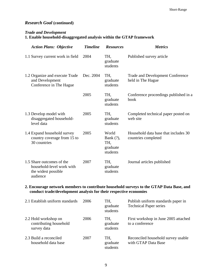#### *Research Goal* **(continued)**

#### *Trade and Development*

# **1. Enable household-disaggregated analysis within the GTAP framework**

| <b>Action Plans: Objective</b>                                                            | <b>Timeline</b> | <b>Resources</b>                                     | <b>Metrics</b>                                               |
|-------------------------------------------------------------------------------------------|-----------------|------------------------------------------------------|--------------------------------------------------------------|
| 1.1 Survey current work in field                                                          | 2004            | TH,<br>graduate<br>students                          | Published survey article                                     |
| 1.2 Organize and execute Trade<br>and Development<br>Conference in The Hague              | Dec. 2004       | TH,<br>graduate<br>students                          | <b>Trade and Development Conference</b><br>held in The Hague |
|                                                                                           | 2005            | TH.<br>graduate<br>students                          | Conference proceedings published in a<br>book                |
| 1.3 Develop model with<br>disaggregated household-<br>level data                          | 2005            | TH.<br>graduate<br>students                          | Completed technical paper posted on<br>web site              |
| 1.4 Expand household survey<br>country coverage from 15 to<br>30 countries                | 2005            | World<br>Bank $(?)$ ,<br>TH,<br>graduate<br>students | Household data base that includes 30<br>countries completed  |
| 1.5 Share outcomes of the<br>household-level work with<br>the widest possible<br>audience | 2007            | TH,<br>graduate<br>students                          | Journal articles published                                   |

#### **2. Encourage network members to contribute household surveys to the GTAP Data Base, and conduct trade/development analysis for their respective economies**

| 2.1 Establish uniform standards                               | 2006 | TH,<br>graduate<br>students | Publish uniform standards paper in<br><b>Technical Paper series</b> |
|---------------------------------------------------------------|------|-----------------------------|---------------------------------------------------------------------|
| 2.2 Hold workshop on<br>contributing household<br>survey data | 2006 | TH,<br>graduate<br>students | First workshop in June 2005 attached<br>to a conference             |
| 2.3 Build a reconciled<br>household data base                 | 2007 | TH.<br>graduate<br>students | Reconciled household survey usable<br>with GTAP Data Base           |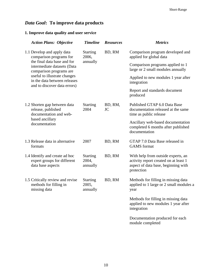# *Data Goal***: To improve data products**

# **1. Improve data quality and user service**

| <b>Action Plans: Objective</b>                                                                                   | <b>Timeline</b>                      | <b>Resources</b>     | <b>Metrics</b>                                                                                                                   |
|------------------------------------------------------------------------------------------------------------------|--------------------------------------|----------------------|----------------------------------------------------------------------------------------------------------------------------------|
| 1.1 Develop and apply data<br>comparison programs for                                                            | <b>Starting</b><br>2006,             | BD, RM               | Comparison program developed and<br>applied for global data                                                                      |
| the final data base and for<br>intermediate datasets (Data<br>comparison programs are                            | annually                             |                      | Comparison programs applied to 1<br>large or 2 small modules annually                                                            |
| useful to illustrate changes<br>in the data between releases<br>and to discover data errors)                     |                                      |                      | Applied to new modules 1 year after<br>integration                                                                               |
|                                                                                                                  |                                      |                      | Report and standards document<br>produced                                                                                        |
| 1.2 Shorten gap between data<br>release, published<br>documentation and web-<br>based ancillary<br>documentation | <b>Starting</b><br>2004              | BD, RM,<br><b>JC</b> | Published GTAP 6.0 Data Base<br>documentation released at the same<br>time as public release                                     |
|                                                                                                                  |                                      |                      | Ancillary web-based documentation<br>completed 6 months after published<br>documentation                                         |
| 1.3 Release data in alternative<br>formats                                                                       | 2007                                 | BD, RM               | GTAP 7.0 Data Base released in<br><b>GAMS</b> format                                                                             |
| 1.4 Identify and create ad hoc<br>expert groups for different<br>data base aspects                               | <b>Starting</b><br>2004,<br>annually | BD, RM               | With help from outside experts, an<br>activity report created on at least 1<br>aspect of data base, beginning with<br>protection |
| 1.5 Critically review and revise<br>methods for filling in<br>missing data                                       | <b>Starting</b><br>2005,<br>annually | BD, RM               | Methods for filling in missing data<br>applied to 1 large or 2 small modules a<br>year                                           |
|                                                                                                                  |                                      |                      | Methods for filling in missing data<br>applied to new modules 1 year after<br>integration                                        |
|                                                                                                                  |                                      |                      | Documentation produced for each<br>module completed                                                                              |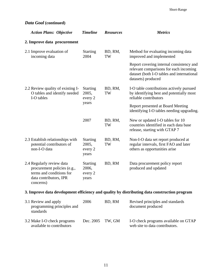# *Data Goal* **(continued)**

| <b>Action Plans: Objective</b>                                                                                              | <b>Timeline</b>                              | <b>Resources</b> | <b>Metrics</b>                                                                                                                                         |  |  |
|-----------------------------------------------------------------------------------------------------------------------------|----------------------------------------------|------------------|--------------------------------------------------------------------------------------------------------------------------------------------------------|--|--|
| 2. Improve data procurement                                                                                                 |                                              |                  |                                                                                                                                                        |  |  |
| 2.1 Improve evaluation of<br>incoming data                                                                                  | <b>Starting</b><br>2004                      | BD, RM,<br>TW    | Method for evaluating incoming data<br>improved and implemented                                                                                        |  |  |
|                                                                                                                             |                                              |                  | Report covering internal consistency and<br>relevant comparisons for each incoming<br>dataset (both I-O tables and international<br>datasets) produced |  |  |
| 2.2 Review quality of existing I-<br>O tables and identify needed<br>I-O tables                                             | <b>Starting</b><br>2005,<br>every 2<br>years | BD, RM,<br>TW    | I-O table contributions actively pursued<br>by identifying best and potentially most<br>reliable contributors                                          |  |  |
|                                                                                                                             |                                              |                  | Report presented at Board Meeting<br>identifying I-O tables needing upgrading.                                                                         |  |  |
|                                                                                                                             | 2007                                         | BD, RM,<br>TW    | New or updated I-O tables for 10<br>countries identified in each data base<br>release, starting with GTAP 7                                            |  |  |
| 2.3 Establish relationships with<br>potential contributors of<br>non-I-O data                                               | <b>Starting</b><br>2005,<br>every 2<br>years | BD, RM,<br>TW    | Non-I-O data set report produced at<br>regular intervals, first FAO and later<br>others as opportunities arise                                         |  |  |
| 2.4 Regularly review data<br>procurement policies (e.g.,<br>terms and conditions for<br>data contributors, IPR<br>concerns) | <b>Starting</b><br>2006,<br>every 2<br>years | BD, RM           | Data procurement policy report<br>produced and updated                                                                                                 |  |  |
| 3. Improve data development efficiency and quality by distributing data construction program                                |                                              |                  |                                                                                                                                                        |  |  |

| 3.1 Review and apply<br>programming principles and<br>standards | 2006      | BD, RM | Revised principles and standards<br>document produced                  |
|-----------------------------------------------------------------|-----------|--------|------------------------------------------------------------------------|
| 3.2 Make I-O check programs<br>available to contributors        | Dec. 2005 | TW. GM | I-O check programs available on GTAP<br>web site to data contributors. |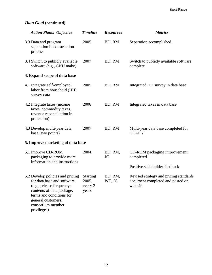# *Data Goal* **(continued)**

| <b>Action Plans: Objective</b>                                                                                                                                                                                  | <b>Timeline</b>                              | <b>Resources</b>  | <b>Metrics</b>                                                                         |
|-----------------------------------------------------------------------------------------------------------------------------------------------------------------------------------------------------------------|----------------------------------------------|-------------------|----------------------------------------------------------------------------------------|
| 3.3 Data and program<br>separation in construction<br>process                                                                                                                                                   | 2005                                         | BD, RM            | Separation accomplished                                                                |
| 3.4 Switch to publicly available<br>software (e.g., GNU make)                                                                                                                                                   | 2007                                         | BD, RM            | Switch to publicly available software<br>complete                                      |
| 4. Expand scope of data base                                                                                                                                                                                    |                                              |                   |                                                                                        |
| 4.1 Integrate self-employed<br>labor from household (HH)<br>survey data                                                                                                                                         | 2005                                         | BD, RM            | Integrated HH survey in data base                                                      |
| 4.2 Integrate taxes (income<br>taxes, commodity taxes,<br>revenue reconciliation in<br>protection)                                                                                                              | 2006                                         | BD, RM            | Integrated taxes in data base                                                          |
| 4.3 Develop multi-year data<br>base (two points)                                                                                                                                                                | 2007                                         | BD, RM            | Multi-year data base completed for<br>GTAP <sub>7</sub>                                |
| 5. Improve marketing of data base                                                                                                                                                                               |                                              |                   |                                                                                        |
| 5.1 Improve CD-ROM<br>packaging to provide more<br>information and instructions                                                                                                                                 | 2004                                         | BD, RM,<br>JC     | CD-ROM packaging improvement<br>completed                                              |
|                                                                                                                                                                                                                 |                                              |                   | Positive stakeholder feedback                                                          |
| 5.2 Develop policies and pricing<br>for data base and software.<br>(e.g., release frequency;<br>contents of data package;<br>terms and conditions for<br>general customers;<br>consortium member<br>privileges) | <b>Starting</b><br>2005,<br>every 2<br>years | BD, RM,<br>WT, JC | Revised strategy and pricing standards<br>document completed and posted on<br>web site |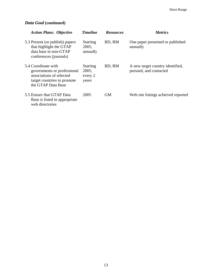# *Data Goal* **(continued)**

| <b>Action Plans: Objective</b>                                                                                                      | <b>Timeline</b>                              | <b>Resources</b> | <i>Metrics</i>                                             |
|-------------------------------------------------------------------------------------------------------------------------------------|----------------------------------------------|------------------|------------------------------------------------------------|
| 5.3 Present (or publish) papers<br>that highlight the GTAP<br>data base in non-GTAP<br>conferences (journals)                       | <b>Starting</b><br>2005,<br>annually         | BD, RM           | One paper presented or published<br>annually               |
| 5.4 Coordinate with<br>governments or professional<br>associations of selected<br>target countries to promote<br>the GTAP Data Base | <b>Starting</b><br>2005,<br>every 2<br>years | BD, RM           | A new target country identified,<br>pursued, and contacted |
| 5.5 Ensure that GTAP Data<br>Base is listed in appropriate<br>web directories                                                       | 2005                                         | GМ               | Web site listings achieved reported                        |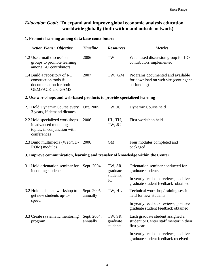# *Education Goal***: To expand and improve global economic analysis education worldwide globally (both within and outside network)**

#### **1. Promote learning among data base contributors**

| <b>Action Plans: Objective</b>                                                                             | <b>Timeline</b>         | <b>Resources</b>                       | <b>Metrics</b>                                                                            |  |
|------------------------------------------------------------------------------------------------------------|-------------------------|----------------------------------------|-------------------------------------------------------------------------------------------|--|
| 1.2 Use e-mail discussion<br>groups to promote learning<br>among I-O contributors                          | 2006                    | TW                                     | Web based discussion group for I-O<br>contributors implemented                            |  |
| 1.4 Build a repository of I-O<br>construction tools &<br>documentation for both<br><b>GEMPACK and GAMS</b> | 2007                    | TW, GM                                 | Programs documented and available<br>for download on web site (contingent<br>on funding)  |  |
| 2. Use workshops and web-based products to provide specialized learning                                    |                         |                                        |                                                                                           |  |
| 2.1 Hold Dynamic Course every<br>3 years, if demand dictates                                               | Oct. 2005               | TW, JC                                 | Dynamic Course held                                                                       |  |
| 2.2 Hold specialized workshops<br>in advanced modeling<br>topics, in conjunction with<br>conferences       | 2006                    | HL, TH,<br>TW, JC                      | First workshop held                                                                       |  |
| 2.3 Build multimedia (Web/CD-<br>ROM) modules                                                              | 2006                    | <b>GM</b>                              | Four modules completed and<br>packaged                                                    |  |
| 3. Improve communication, learning and transfer of knowledge within the Center                             |                         |                                        |                                                                                           |  |
| 3.1 Hold orientation seminar for<br>incoming students                                                      | Sept. 2004              | TW, SR,<br>graduate<br>students,<br>JC | Orientation seminar conducted for<br>graduate students                                    |  |
|                                                                                                            |                         |                                        | In yearly feedback reviews, positive<br>graduate student feedback obtained                |  |
| 3.2 Hold technical workshop to<br>get new students up-to-                                                  | Sept. 2005,<br>annually | TW, HL                                 | Technical workshop/training session<br>held for new students                              |  |
| speed                                                                                                      |                         |                                        | In yearly feedback reviews, positive<br>graduate student feedback obtained                |  |
| 3.3 Create systematic mentoring<br>program                                                                 | Sept. 2004,<br>annually | TW, SR,<br>graduate<br>students        | Each graduate student assigned a<br>student or Center staff mentor in their<br>first year |  |
|                                                                                                            |                         |                                        | In yearly feedback reviews, positive<br>graduate student feedback received                |  |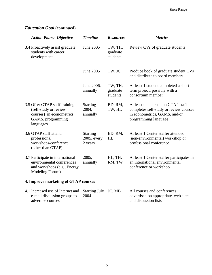# *Education Goal* **(continued)**

| <b>Action Plans: Objective</b>                                                                                        | <b>Timeline</b>                           | <b>Resources</b>                | <b>Metrics</b>                                                                                                                       |  |
|-----------------------------------------------------------------------------------------------------------------------|-------------------------------------------|---------------------------------|--------------------------------------------------------------------------------------------------------------------------------------|--|
| 3.4 Proactively assist graduate<br>students with career<br>development                                                | June 2005                                 | TW, TH,<br>graduate<br>students | Review CVs of graduate students                                                                                                      |  |
|                                                                                                                       | June 2005                                 | TW, JC                          | Produce book of graduate student CVs<br>and distribute to board members                                                              |  |
|                                                                                                                       | June 2006,<br>annually                    | TW, TH,<br>graduate<br>students | At least 1 student completed a short-<br>term project, possibly with a<br>consortium member                                          |  |
| 3.5 Offer GTAP staff training<br>(self-study or review<br>courses) in econometrics,<br>GAMS, programming<br>languages | <b>Starting</b><br>2004,<br>annually      | BD, RM,<br>TW, HL               | At least one person on GTAP staff<br>completes self-study or review courses<br>in econometrics, GAMS, and/or<br>programming language |  |
| 3.6 GTAP staff attend<br>professional<br>workshops/conference<br>(other than GTAP)                                    | <b>Starting</b><br>2005, every<br>2 years | BD, RM,<br>HL                   | At least 1 Center staffer attended<br>(non-environmental) workshop or<br>professional conference                                     |  |
| 3.7 Participate in international<br>environmental conferences<br>and workshops (e.g., Energy<br>Modeling Forum)       | 2005,<br>annually                         | HL, TH,<br>RM, TW               | At least 1 Center staffer participates in<br>an international environmental<br>conference or workshop                                |  |
| 4. Improve marketing of GTAP courses                                                                                  |                                           |                                 |                                                                                                                                      |  |
| 4.1 Increased use of Internet and<br>e-mail discussion groups to<br>advertise courses                                 | <b>Starting July</b><br>2004              | JC, MB                          | All courses and conferences<br>advertised on appropriate web sites<br>and discussion lists                                           |  |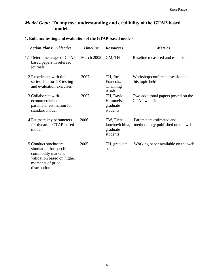# *Model Goal***: To improve understanding and credibility of the GTAP-based models**

### **1. Enhance testing and evaluation of the GTAP-based models**

| <b>Action Plans: Objective</b>                                                                                                            | <b>Timeline</b> | <b>Resources</b>                                    | <b>Metrics</b>                                               |
|-------------------------------------------------------------------------------------------------------------------------------------------|-----------------|-----------------------------------------------------|--------------------------------------------------------------|
| 1.1 Determine usage of GTAP-<br>based papers in refereed<br>journals                                                                      | March 2005      | GM, TH                                              | Baseline measured and established                            |
| 1.2 Experiment with time<br>series data for GE testing<br>and evaluation exercises                                                        | 2007            | TH, Joe<br>Francois,<br>Channing<br>Arndt           | Workshop/conference session on<br>this topic held            |
| 1.3 Collaborate with<br>econometricians on<br>parameter estimation for<br>standard model                                                  | 2007            | TH, David<br>Hummels,<br>graduate<br>students       | Two additional papers posted on the<br>GTAP web site         |
| 1.4 Estimate key parameters<br>for dynamic GTAP-based<br>model                                                                            | 2006            | TW, Elena<br>Ianchovichina,<br>graduate<br>students | Parameters estimated and<br>methodology published on the web |
| 1.5 Conduct stochastic<br>simulation for specific<br>commodity markets;<br>validation based on higher<br>moments of price<br>distribution | 2005            | TH, graduate<br>students                            | Working paper available on the web                           |